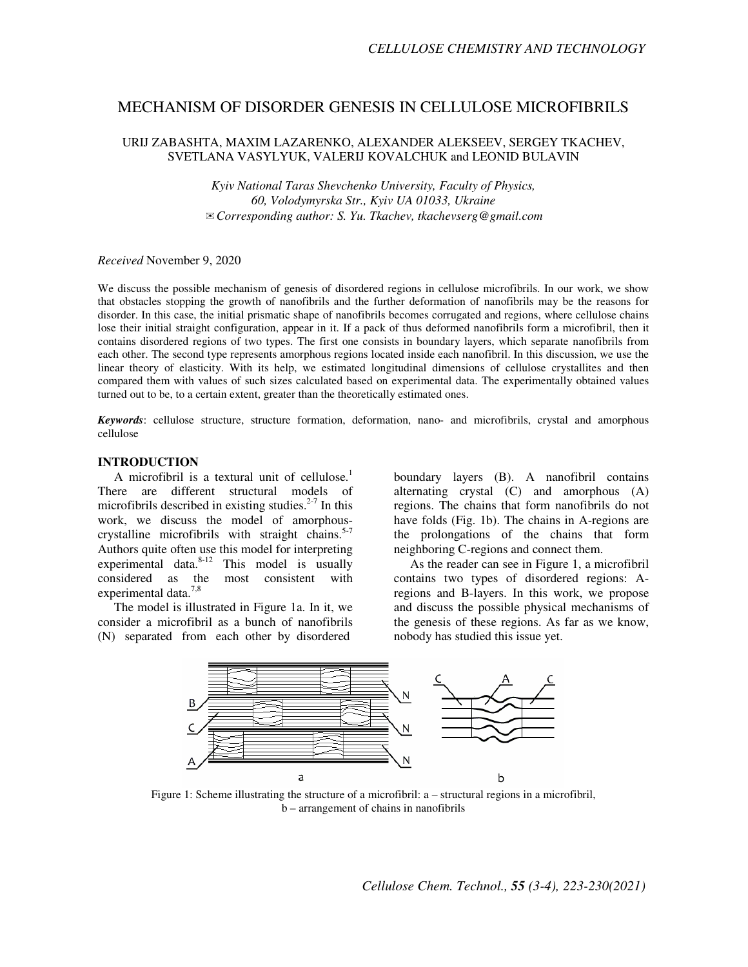# MECHANISM OF DISORDER GENESIS IN CELLULOSE MICROFIBRILS

# URIJ ZABASHTA, MAXIM LAZARENKO, ALEXANDER ALEKSEEV, SERGEY TKACHEV, SVETLANA VASYLYUK, VALERIJ KOVALCHUK and LEONID BULAVIN

*Kyiv National Taras Shevchenko University, Faculty of Physics, 60, Volodymyrska Str., Kyiv UA 01033, Ukraine*  ✉*Corresponding author: S. Yu. Tkachev, tkachevserg@gmail.com* 

*Received* November 9, 2020

We discuss the possible mechanism of genesis of disordered regions in cellulose microfibrils. In our work, we show that obstacles stopping the growth of nanofibrils and the further deformation of nanofibrils may be the reasons for disorder. In this case, the initial prismatic shape of nanofibrils becomes corrugated and regions, where cellulose chains lose their initial straight configuration, appear in it. If a pack of thus deformed nanofibrils form a microfibril, then it contains disordered regions of two types. The first one consists in boundary layers, which separate nanofibrils from each other. The second type represents amorphous regions located inside each nanofibril. In this discussion, we use the linear theory of elasticity. With its help, we estimated longitudinal dimensions of cellulose crystallites and then compared them with values of such sizes calculated based on experimental data. The experimentally obtained values turned out to be, to a certain extent, greater than the theoretically estimated ones.

*Keywords*: cellulose structure, structure formation, deformation, nano- and microfibrils, crystal and amorphous cellulose

#### **INTRODUCTION**

A microfibril is a textural unit of cellulose.<sup>1</sup> There are different structural models of microfibrils described in existing studies. $2-7$  In this work, we discuss the model of amorphouscrystalline microfibrils with straight chains.<sup>5-7</sup> Authors quite often use this model for interpreting experimental data. $8-12$  This model is usually considered as the most consistent with experimental data.<sup>7,8</sup>

The model is illustrated in Figure 1a. In it, we consider a microfibril as a bunch of nanofibrils (N) separated from each other by disordered

boundary layers (B). A nanofibril contains alternating crystal (C) and amorphous (A) regions. The chains that form nanofibrils do not have folds (Fig. 1b). The chains in A-regions are the prolongations of the chains that form neighboring C-regions and connect them.

As the reader can see in Figure 1, a microfibril contains two types of disordered regions: Aregions and B-layers. In this work, we propose and discuss the possible physical mechanisms of the genesis of these regions. As far as we know, nobody has studied this issue yet.



Figure 1: Scheme illustrating the structure of a microfibril: a – structural regions in a microfibril, b – arrangement of chains in nanofibrils

*Cellulose Chem. Technol., 55 (3-4), 223-230(2021)*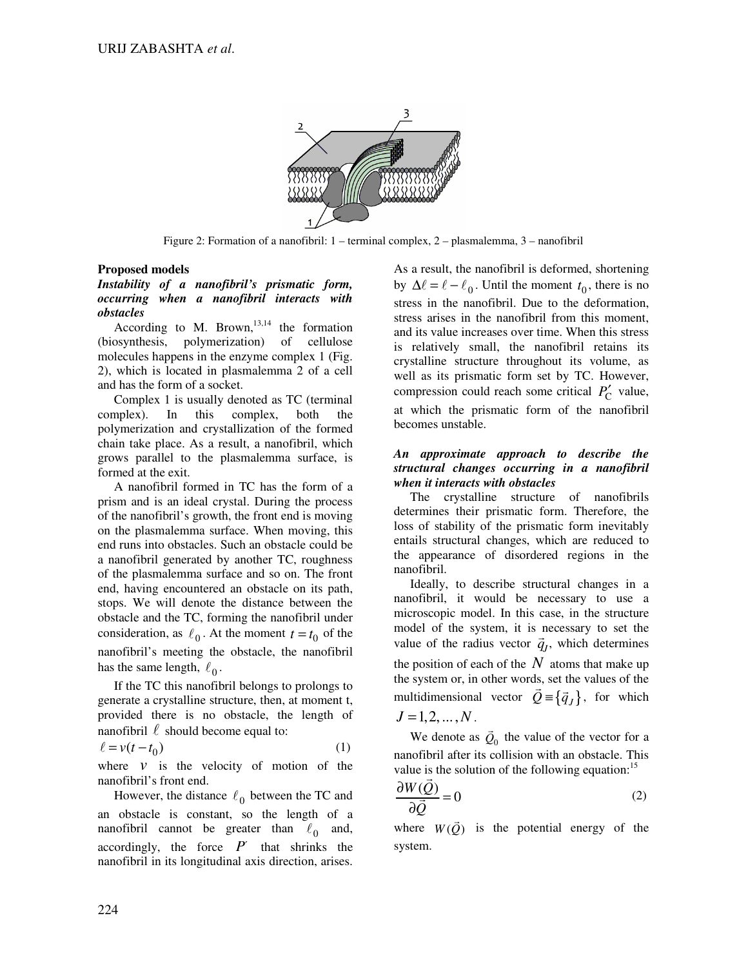

Figure 2: Formation of a nanofibril: 1 – terminal complex, 2 – plasmalemma, 3 – nanofibril

#### **Proposed models**

*Instability of a nanofibril's prismatic form, occurring when a nanofibril interacts with obstacles* 

According to M. Brown,  $13,14$  the formation (biosynthesis, polymerization) of cellulose molecules happens in the enzyme complex 1 (Fig. 2), which is located in plasmalemma 2 of a cell and has the form of a socket.

Complex 1 is usually denoted as TC (terminal complex). In this complex, both the polymerization and crystallization of the formed chain take place. As a result, a nanofibril, which grows parallel to the plasmalemma surface, is formed at the exit.

A nanofibril formed in TC has the form of a prism and is an ideal crystal. During the process of the nanofibril's growth, the front end is moving on the plasmalemma surface. When moving, this end runs into obstacles. Such an obstacle could be a nanofibril generated by another TC, roughness of the plasmalemma surface and so on. The front end, having encountered an obstacle on its path, stops. We will denote the distance between the obstacle and the TC, forming the nanofibril under consideration, as  $\ell_0$ . At the moment  $t = t_0$  of the nanofibril's meeting the obstacle, the nanofibril has the same length,  $\ell_0$ .

If the TC this nanofibril belongs to prolongs to generate a crystalline structure, then, at moment t, provided there is no obstacle, the length of nanofibril  $\ell$  should become equal to:

$$
\ell = v(t - t_0) \tag{1}
$$

where  $\nu$  is the velocity of motion of the nanofibril's front end.

However, the distance  $\ell_0$  between the TC and an obstacle is constant, so the length of a nanofibril cannot be greater than  $\ell_0$  and, accordingly, the force  $P'$  that shrinks the nanofibril in its longitudinal axis direction, arises.

As a result, the nanofibril is deformed, shortening by  $\Delta \ell = \ell - \ell_0$ . Until the moment  $t_0$ , there is no stress in the nanofibril. Due to the deformation, stress arises in the nanofibril from this moment, and its value increases over time. When this stress is relatively small, the nanofibril retains its crystalline structure throughout its volume, as well as its prismatic form set by TC. However, compression could reach some critical  $P'_C$  value, at which the prismatic form of the nanofibril becomes unstable.

# *An approximate approach to describe the structural changes occurring in a nanofibril when it interacts with obstacles*

The crystalline structure of nanofibrils determines their prismatic form. Therefore, the loss of stability of the prismatic form inevitably entails structural changes, which are reduced to the appearance of disordered regions in the nanofibril.

Ideally, to describe structural changes in a nanofibril, it would be necessary to use a microscopic model. In this case, in the structure model of the system, it is necessary to set the value of the radius vector  $\vec{q}_j$ , which determines the position of each of the  $N$  atoms that make up the system or, in other words, set the values of the  $\vec{r}$ multidimensional vector  $Q \equiv {\{\vec{q}_J\}}$ , for which  $J = 1, 2, ..., N$ .

We denote as  $\vec{Q}_0$  $\overline{a}$  the value of the vector for a nanofibril after its collision with an obstacle. This value is the solution of the following equation:<sup>15</sup>

$$
\frac{\partial W(Q)}{\partial \vec{Q}} = 0 \tag{2}
$$

where  $W(\vec{Q})$  $\overline{a}$  is the potential energy of the system.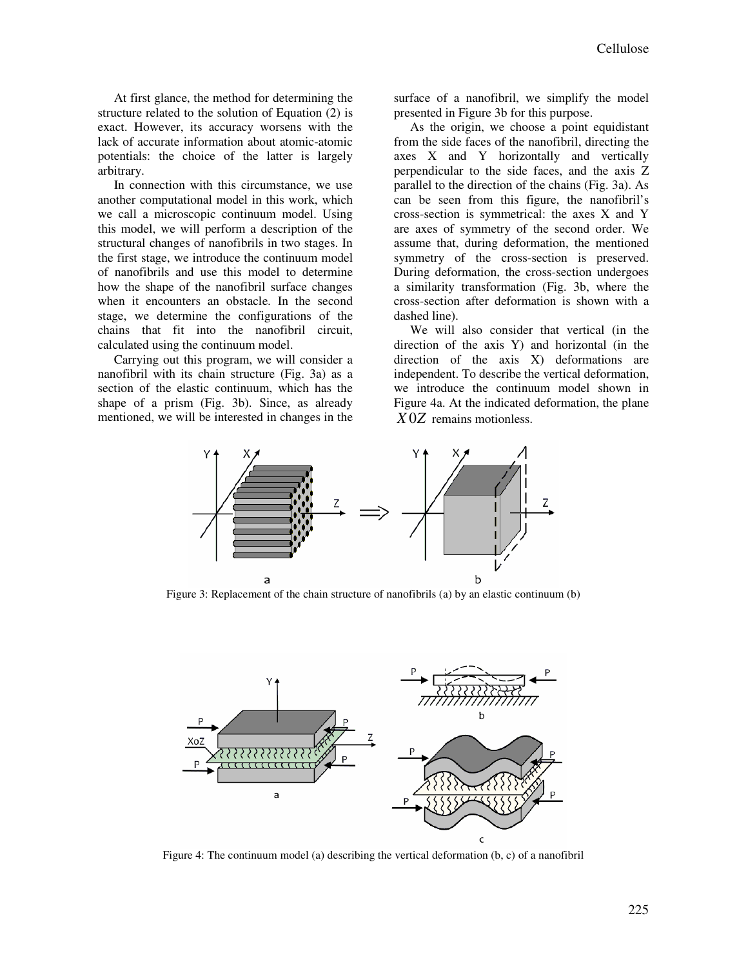At first glance, the method for determining the structure related to the solution of Equation (2) is exact. However, its accuracy worsens with the lack of accurate information about atomic-atomic potentials: the choice of the latter is largely arbitrary.

In connection with this circumstance, we use another computational model in this work, which we call a microscopic continuum model. Using this model, we will perform a description of the structural changes of nanofibrils in two stages. In the first stage, we introduce the continuum model of nanofibrils and use this model to determine how the shape of the nanofibril surface changes when it encounters an obstacle. In the second stage, we determine the configurations of the chains that fit into the nanofibril circuit, calculated using the continuum model.

Carrying out this program, we will consider a nanofibril with its chain structure (Fig. 3a) as a section of the elastic continuum, which has the shape of a prism (Fig. 3b). Since, as already mentioned, we will be interested in changes in the

surface of a nanofibril, we simplify the model presented in Figure 3b for this purpose.

As the origin, we choose a point equidistant from the side faces of the nanofibril, directing the axes X and Y horizontally and vertically perpendicular to the side faces, and the axis Z parallel to the direction of the chains (Fig. 3a). As can be seen from this figure, the nanofibril's cross-section is symmetrical: the axes X and Y are axes of symmetry of the second order. We assume that, during deformation, the mentioned symmetry of the cross-section is preserved. During deformation, the cross-section undergoes a similarity transformation (Fig. 3b, where the cross-section after deformation is shown with a dashed line).

We will also consider that vertical (in the direction of the axis Y) and horizontal (in the direction of the axis X) deformations are independent. To describe the vertical deformation, we introduce the continuum model shown in Figure 4a. At the indicated deformation, the plane *X* 0*Z* remains motionless.



Figure 3: Replacement of the chain structure of nanofibrils (a) by an elastic continuum (b)



Figure 4: The continuum model (a) describing the vertical deformation (b, c) of a nanofibril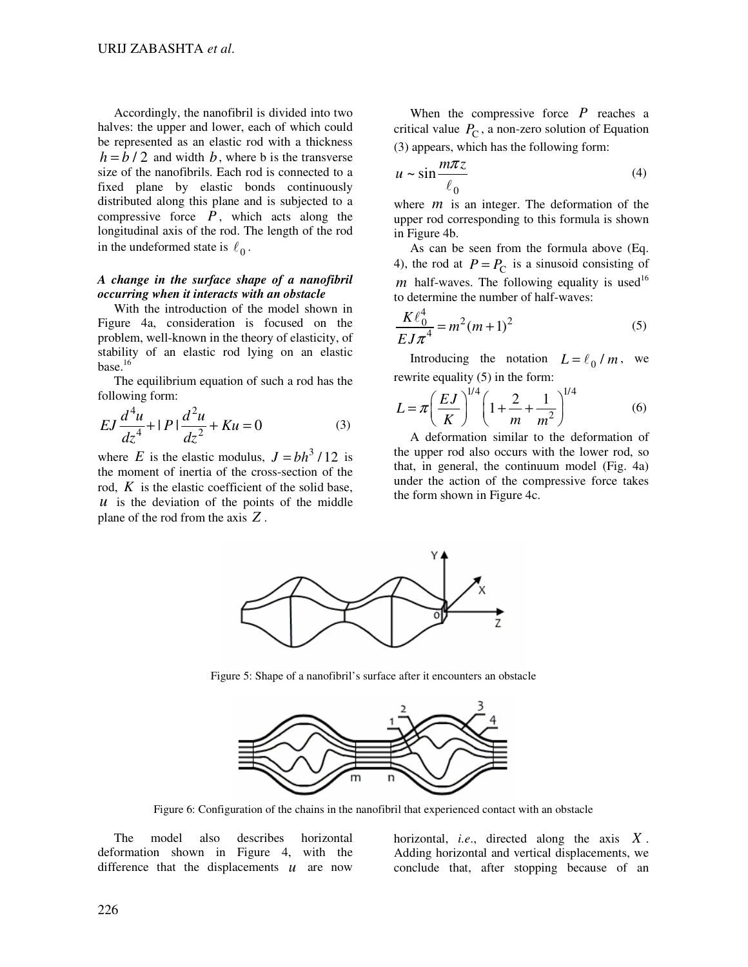Accordingly, the nanofibril is divided into two halves: the upper and lower, each of which could be represented as an elastic rod with a thickness  $h = b/2$  and width *b*, where b is the transverse size of the nanofibrils. Each rod is connected to a fixed plane by elastic bonds continuously distributed along this plane and is subjected to a compressive force  $P$ , which acts along the longitudinal axis of the rod. The length of the rod in the undeformed state is  $\ell_0$ .

# *A change in the surface shape of a nanofibril occurring when it interacts with an obstacle*

With the introduction of the model shown in Figure 4a, consideration is focused on the problem, well-known in the theory of elasticity, of stability of an elastic rod lying on an elastic base.<sup>16</sup>

The equilibrium equation of such a rod has the following form:

$$
EJ\frac{d^4u}{dz^4} + |P|\frac{d^2u}{dz^2} + Ku = 0
$$
 (3)

where *E* is the elastic modulus,  $J = bh^3 / 12$  is the moment of inertia of the cross-section of the rod,  $K$  is the elastic coefficient of the solid base,  *is the deviation of the points of the middle* plane of the rod from the axis *Z* .

When the compressive force  $P$  reaches a critical value  $P_{\text{C}}$ , a non-zero solution of Equation (3) appears, which has the following form:

$$
u \sim \sin \frac{m\pi z}{\ell_0} \tag{4}
$$

where *m* is an integer. The deformation of the upper rod corresponding to this formula is shown in Figure 4b.

As can be seen from the formula above (Eq. 4), the rod at  $P = P_C$  is a sinusoid consisting of *m* half-waves. The following equality is used<sup>16</sup> to determine the number of half-waves:

$$
\frac{K\ell_0^4}{EJ\pi^4} = m^2(m+1)^2
$$
 (5)

Introducing the notation  $L = l_0 / m$ , we rewrite equality (5) in the form:

$$
L = \pi \left(\frac{EJ}{K}\right)^{1/4} \left(1 + \frac{2}{m} + \frac{1}{m^2}\right)^{1/4} \tag{6}
$$

A deformation similar to the deformation of the upper rod also occurs with the lower rod, so that, in general, the continuum model (Fig. 4a) under the action of the compressive force takes the form shown in Figure 4c.



Figure 5: Shape of a nanofibril's surface after it encounters an obstacle



Figure 6: Configuration of the chains in the nanofibril that experienced contact with an obstacle

The model also describes horizontal deformation shown in Figure 4, with the difference that the displacements *u* are now horizontal, *i.e*., directed along the axis *X* . Adding horizontal and vertical displacements, we conclude that, after stopping because of an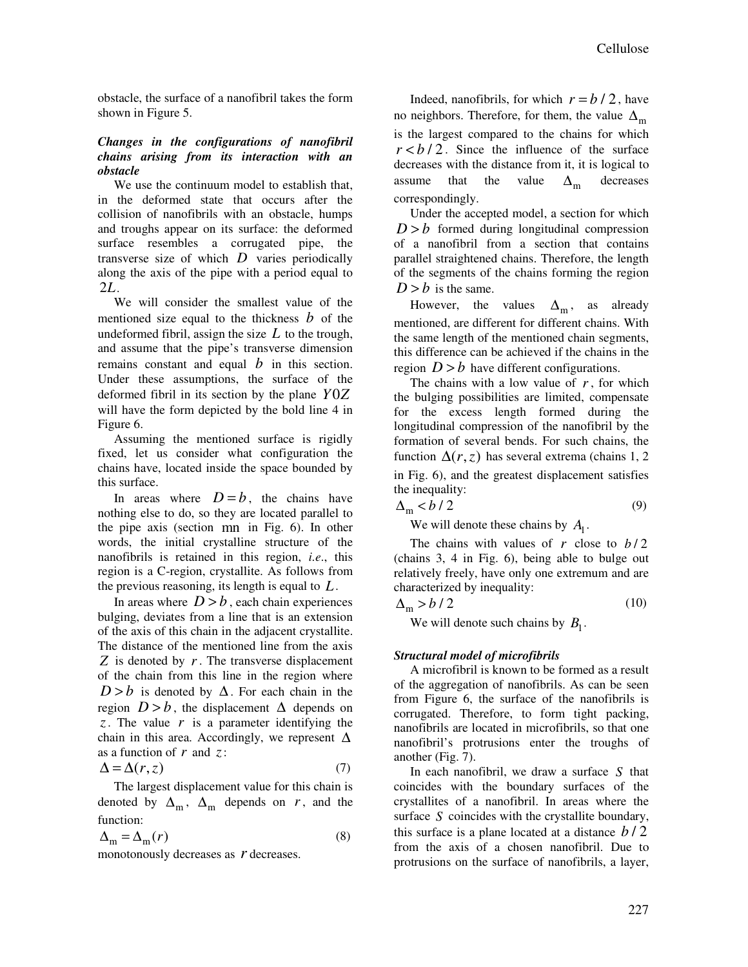obstacle, the surface of a nanofibril takes the form shown in Figure 5.

# *Changes in the configurations of nanofibril chains arising from its interaction with an obstacle*

We use the continuum model to establish that, in the deformed state that occurs after the collision of nanofibrils with an obstacle, humps and troughs appear on its surface: the deformed surface resembles a corrugated pipe, the transverse size of which *D* varies periodically along the axis of the pipe with a period equal to 2*L*.

We will consider the smallest value of the mentioned size equal to the thickness *b* of the undeformed fibril, assign the size  $L$  to the trough, and assume that the pipe's transverse dimension remains constant and equal *b* in this section. Under these assumptions, the surface of the deformed fibril in its section by the plane  $Y0Z$ will have the form depicted by the bold line 4 in Figure 6.

Assuming the mentioned surface is rigidly fixed, let us consider what configuration the chains have, located inside the space bounded by this surface.

In areas where  $D = b$ , the chains have nothing else to do, so they are located parallel to the pipe axis (section mn in Fig. 6). In other words, the initial crystalline structure of the nanofibrils is retained in this region, *i.e*., this region is a C-region, crystallite. As follows from the previous reasoning, its length is equal to *L*.

In areas where  $D > b$ , each chain experiences bulging, deviates from a line that is an extension of the axis of this chain in the adjacent crystallite. The distance of the mentioned line from the axis *Z* is denoted by *r*. The transverse displacement of the chain from this line in the region where  $D > b$  is denoted by  $\Delta$ . For each chain in the region  $D > b$ , the displacement  $\Delta$  depends on *z*. The value *r* is a parameter identifying the chain in this area. Accordingly, we represent  $\Delta$ as a function of *r* and *z*:

$$
\Delta = \Delta(r, z) \tag{7}
$$

The largest displacement value for this chain is denoted by  $\Delta_{m}$ ,  $\Delta_{m}$  depends on *r*, and the function:

$$
\Delta_{\rm m} = \Delta_{\rm m}(r) \tag{8}
$$

monotonously decreases as *r* decreases.

Indeed, nanofibrils, for which  $r = b / 2$ , have no neighbors. Therefore, for them, the value  $\Delta_{\rm m}$ is the largest compared to the chains for which  $r < b/2$ . Since the influence of the surface decreases with the distance from it, it is logical to assume that the value  $\Delta_{\rm m}$  decreases correspondingly.

Under the accepted model, a section for which  $D > b$  formed during longitudinal compression of a nanofibril from a section that contains parallel straightened chains. Therefore, the length of the segments of the chains forming the region  $D > b$  is the same.

However, the values  $\Delta_{m}$ , as already mentioned, are different for different chains. With the same length of the mentioned chain segments, this difference can be achieved if the chains in the region  $D > b$  have different configurations.

The chains with a low value of *r*, for which the bulging possibilities are limited, compensate for the excess length formed during the longitudinal compression of the nanofibril by the formation of several bends. For such chains, the function  $\Delta(r, z)$  has several extrema (chains 1, 2 in Fig. 6), and the greatest displacement satisfies the inequality:

$$
\Delta_{\rm m} < b/2 \tag{9}
$$

We will denote these chains by  $A_1$ .

The chains with values of  $r$  close to  $b/2$ (chains 3, 4 in Fig. 6), being able to bulge out relatively freely, have only one extremum and are characterized by inequality:

 $\Delta_{\rm m} > b / 2$  (10)

We will denote such chains by  $B_1$ .

# *Structural model of microfibrils*

A microfibril is known to be formed as a result of the aggregation of nanofibrils. As can be seen from Figure 6, the surface of the nanofibrils is corrugated. Therefore, to form tight packing, nanofibrils are located in microfibrils, so that one nanofibril's protrusions enter the troughs of another (Fig. 7).

In each nanofibril, we draw a surface *S* that coincides with the boundary surfaces of the crystallites of a nanofibril. In areas where the surface *S* coincides with the crystallite boundary, this surface is a plane located at a distance *b* / 2 from the axis of a chosen nanofibril. Due to protrusions on the surface of nanofibrils, a layer,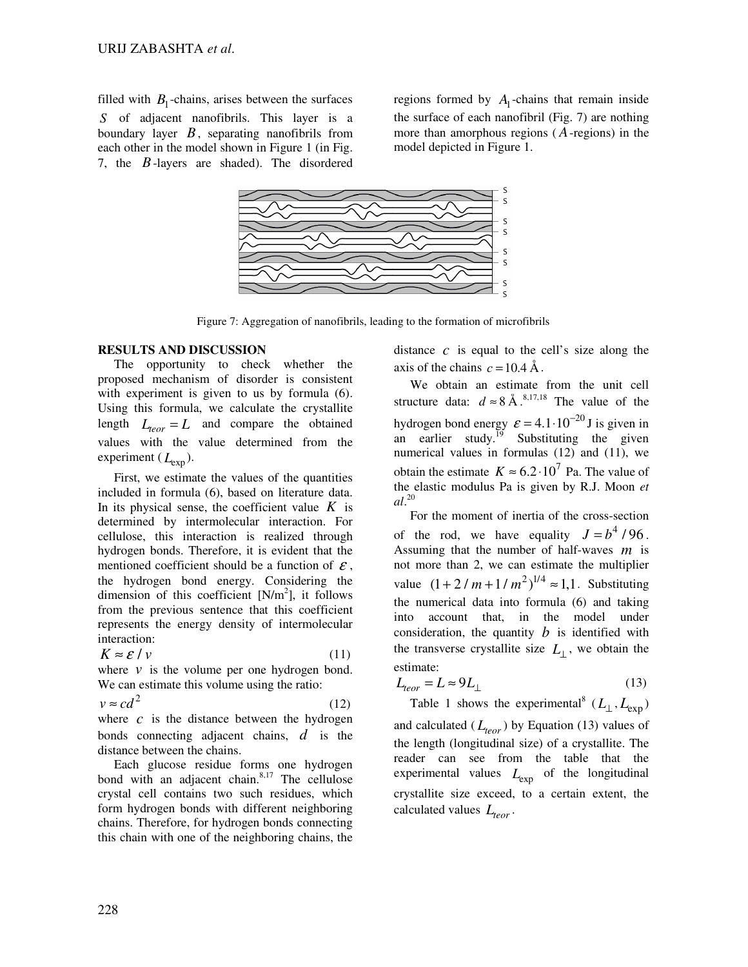filled with  $B_1$ -chains, arises between the surfaces *S* of adjacent nanofibrils. This layer is a boundary layer *B*, separating nanofibrils from each other in the model shown in Figure 1 (in Fig. 7, the *B*-layers are shaded). The disordered

regions formed by  $A_1$ -chains that remain inside the surface of each nanofibril (Fig. 7) are nothing more than amorphous regions ( *A*-regions) in the model depicted in Figure 1.



Figure 7: Aggregation of nanofibrils, leading to the formation of microfibrils

# **RESULTS AND DISCUSSION**

The opportunity to check whether the proposed mechanism of disorder is consistent with experiment is given to us by formula (6). Using this formula, we calculate the crystallite length  $L_{\text{teor}} = L$  and compare the obtained values with the value determined from the experiment ( $L_{\text{exp}}$ ).

First, we estimate the values of the quantities included in formula (6), based on literature data. In its physical sense, the coefficient value  $K$  is determined by intermolecular interaction. For cellulose, this interaction is realized through hydrogen bonds. Therefore, it is evident that the mentioned coefficient should be a function of  $\mathcal{E}$ , the hydrogen bond energy. Considering the dimension of this coefficient  $[N/m^2]$ , it follows from the previous sentence that this coefficient represents the energy density of intermolecular interaction:

$$
K \approx \mathcal{E}/v \tag{11}
$$

where  $\nu$  is the volume per one hydrogen bond. We can estimate this volume using the ratio:

$$
v \approx cd^2 \tag{12}
$$

where  $c$  is the distance between the hydrogen bonds connecting adjacent chains, *d* is the distance between the chains.

Each glucose residue forms one hydrogen bond with an adjacent chain.<sup>8,17</sup> The cellulose crystal cell contains two such residues, which form hydrogen bonds with different neighboring chains. Therefore, for hydrogen bonds connecting this chain with one of the neighboring chains, the distance  $c$  is equal to the cell's size along the axis of the chains  $c = 10.4 \text{ Å}.$ 

We obtain an estimate from the unit cell structure data:  $d \approx 8 \text{ Å}^{8,17,18}$  The value of the hydrogen bond energy  $\varepsilon = 4.1 \cdot 10^{-20}$  J is given in an earlier study.<sup>19</sup> Substituting the given numerical values in formulas (12) and (11), we obtain the estimate  $K \approx 6.2 \cdot 10^7$  Pa. The value of the elastic modulus Pa is given by R.J. Moon *et al*. 20

For the moment of inertia of the cross-section of the rod, we have equality  $J = b^4 / 96$ . Assuming that the number of half-waves *m* is not more than 2, we can estimate the multiplier value  $(1 + 2/m + 1/m^2)^{1/4} \approx 1,1$ . Substituting the numerical data into formula (6) and taking into account that, in the model under consideration, the quantity  $\hat{b}$  is identified with the transverse crystallite size  $L_{\perp}$ , we obtain the estimate:

$$
L_{teor} = L \approx 9L_{\perp} \tag{13}
$$

Table 1 shows the experimental<sup>8</sup> ( $L_{\perp}$ ,  $L_{\text{exp}}$ ) and calculated  $(L_{teor})$  by Equation (13) values of the length (longitudinal size) of a crystallite. The reader can see from the table that the experimental values  $L_{\text{exp}}$  of the longitudinal crystallite size exceed, to a certain extent, the calculated values *Lteor* .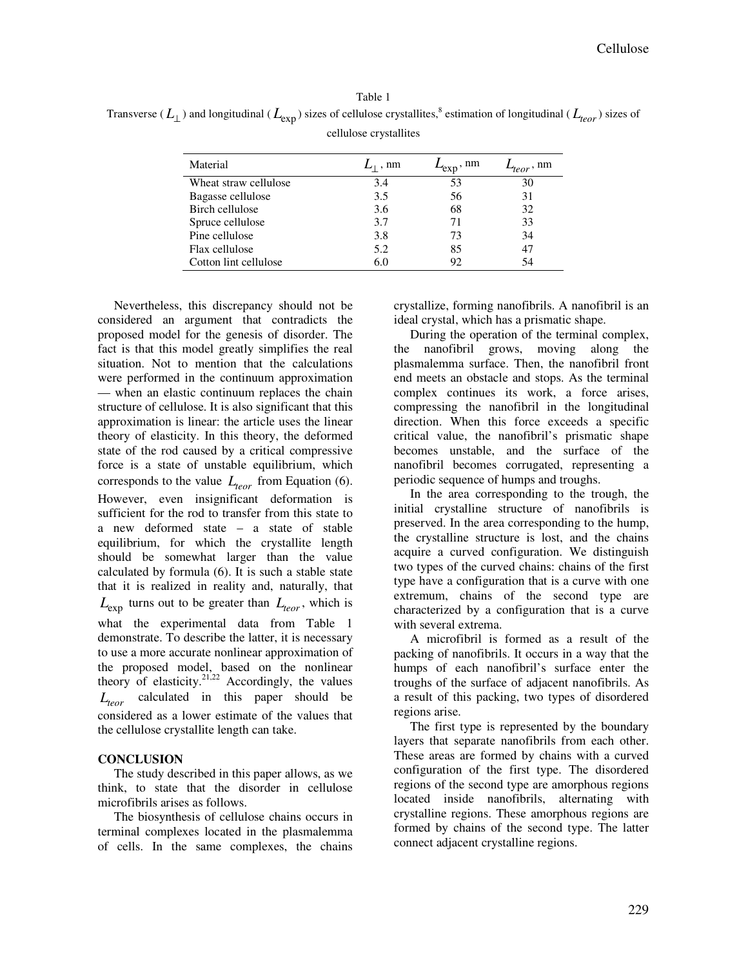Table 1 Transverse ( $L_{\perp}$ ) and longitudinal ( $L_{\rm exp}$ ) sizes of cellulose crystallites,<sup>8</sup> estimation of longitudinal ( $L_{teor}$ ) sizes of cellulose crystallites

| $L_1$ , nm | $L_{exp}$ , nm | . nm |
|------------|----------------|------|
| 3.4        | 53             | 30   |
| 3.5        | 56             | 31   |
| 3.6        | 68             | 32   |
| 3.7        | 71             | 33   |
| 3.8        | 73             | 34   |
| 5.2        | 85             |      |
| 6.0        | 92             | 54   |
|            |                |      |

Nevertheless, this discrepancy should not be considered an argument that contradicts the proposed model for the genesis of disorder. The fact is that this model greatly simplifies the real situation. Not to mention that the calculations were performed in the continuum approximation — when an elastic continuum replaces the chain structure of cellulose. It is also significant that this approximation is linear: the article uses the linear theory of elasticity. In this theory, the deformed state of the rod caused by a critical compressive force is a state of unstable equilibrium, which corresponds to the value *Lteor* from Equation (6). However, even insignificant deformation is sufficient for the rod to transfer from this state to a new deformed state – a state of stable equilibrium, for which the crystallite length should be somewhat larger than the value calculated by formula (6). It is such a stable state that it is realized in reality and, naturally, that  $L_{\text{exp}}$  turns out to be greater than  $L_{\text{teor}}$ , which is what the experimental data from Table 1 demonstrate. To describe the latter, it is necessary to use a more accurate nonlinear approximation of the proposed model, based on the nonlinear theory of elasticity.<sup>21,22</sup> Accordingly, the values *Lteor* calculated in this paper should be considered as a lower estimate of the values that the cellulose crystallite length can take.

#### **CONCLUSION**

The study described in this paper allows, as we think, to state that the disorder in cellulose microfibrils arises as follows.

The biosynthesis of cellulose chains occurs in terminal complexes located in the plasmalemma of cells. In the same complexes, the chains crystallize, forming nanofibrils. A nanofibril is an ideal crystal, which has a prismatic shape.

During the operation of the terminal complex, the nanofibril grows, moving along the plasmalemma surface. Then, the nanofibril front end meets an obstacle and stops. As the terminal complex continues its work, a force arises, compressing the nanofibril in the longitudinal direction. When this force exceeds a specific critical value, the nanofibril's prismatic shape becomes unstable, and the surface of the nanofibril becomes corrugated, representing a periodic sequence of humps and troughs.

In the area corresponding to the trough, the initial crystalline structure of nanofibrils is preserved. In the area corresponding to the hump, the crystalline structure is lost, and the chains acquire a curved configuration. We distinguish two types of the curved chains: chains of the first type have a configuration that is a curve with one extremum, chains of the second type are characterized by a configuration that is a curve with several extrema.

A microfibril is formed as a result of the packing of nanofibrils. It occurs in a way that the humps of each nanofibril's surface enter the troughs of the surface of adjacent nanofibrils. As a result of this packing, two types of disordered regions arise.

The first type is represented by the boundary layers that separate nanofibrils from each other. These areas are formed by chains with a curved configuration of the first type. The disordered regions of the second type are amorphous regions located inside nanofibrils, alternating with crystalline regions. These amorphous regions are formed by chains of the second type. The latter connect adjacent crystalline regions.